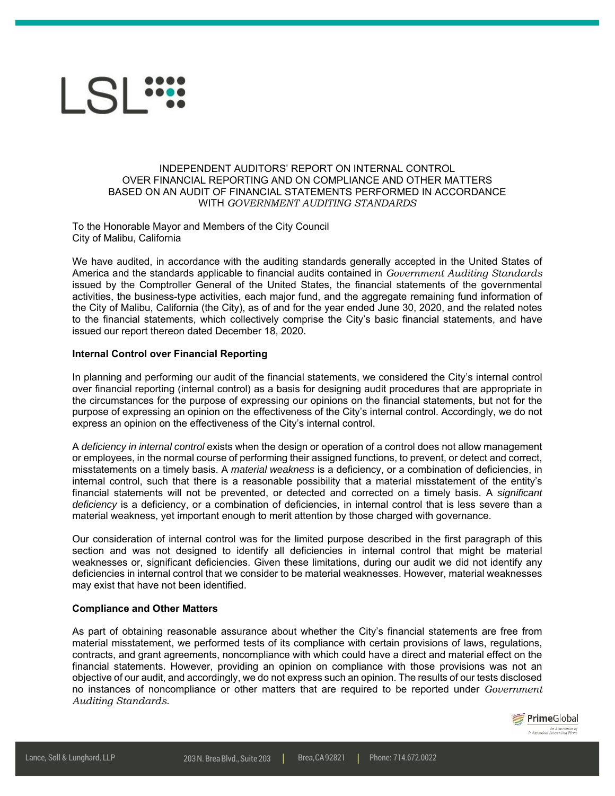

## INDEPENDENT AUDITORS' REPORT ON INTERNAL CONTROL OVER FINANCIAL REPORTING AND ON COMPLIANCE AND OTHER MATTERS BASED ON AN AUDIT OF FINANCIAL STATEMENTS PERFORMED IN ACCORDANCE WITH *GOVERNMENT AUDITING STANDARDS*

To the Honorable Mayor and Members of the City Council City of Malibu, California

We have audited, in accordance with the auditing standards generally accepted in the United States of America and the standards applicable to financial audits contained in *Government Auditing Standards* issued by the Comptroller General of the United States, the financial statements of the governmental activities, the business-type activities, each major fund, and the aggregate remaining fund information of the City of Malibu, California (the City), as of and for the year ended June 30, 2020, and the related notes to the financial statements, which collectively comprise the City's basic financial statements, and have issued our report thereon dated December 18, 2020.

## **Internal Control over Financial Reporting**

In planning and performing our audit of the financial statements, we considered the City's internal control over financial reporting (internal control) as a basis for designing audit procedures that are appropriate in the circumstances for the purpose of expressing our opinions on the financial statements, but not for the purpose of expressing an opinion on the effectiveness of the City's internal control. Accordingly, we do not express an opinion on the effectiveness of the City's internal control.

A *deficiency in internal control* exists when the design or operation of a control does not allow management or employees, in the normal course of performing their assigned functions, to prevent, or detect and correct, misstatements on a timely basis. A *material weakness* is a deficiency, or a combination of deficiencies, in internal control, such that there is a reasonable possibility that a material misstatement of the entity's financial statements will not be prevented, or detected and corrected on a timely basis. A *significant deficiency* is a deficiency, or a combination of deficiencies, in internal control that is less severe than a material weakness, yet important enough to merit attention by those charged with governance.

Our consideration of internal control was for the limited purpose described in the first paragraph of this section and was not designed to identify all deficiencies in internal control that might be material weaknesses or, significant deficiencies. Given these limitations, during our audit we did not identify any deficiencies in internal control that we consider to be material weaknesses. However, material weaknesses may exist that have not been identified.

## **Compliance and Other Matters**

As part of obtaining reasonable assurance about whether the City's financial statements are free from material misstatement, we performed tests of its compliance with certain provisions of laws, regulations, contracts, and grant agreements, noncompliance with which could have a direct and material effect on the financial statements. However, providing an opinion on compliance with those provisions was not an objective of our audit, and accordingly, we do not express such an opinion. The results of our tests disclosed no instances of noncompliance or other matters that are required to be reported under *Government Auditing Standards*.